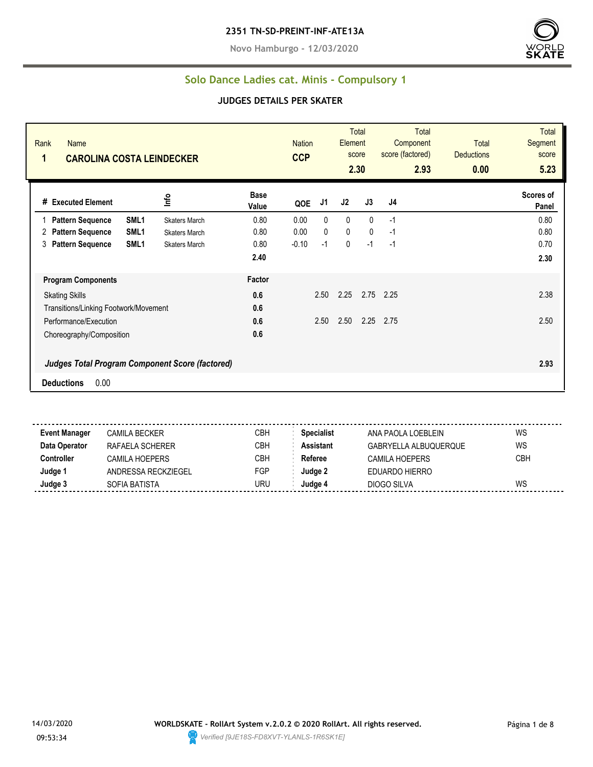**Novo Hamburgo - 12/03/2020**



#### **Solo Dance Ladies cat. Minis - Compulsory 1**

#### **JUDGES DETAILS PER SKATER**

| Rank<br>Name<br>1<br><b>CAROLINA COSTA LEINDECKER</b> |                              | <b>Nation</b><br><b>CCP</b> |              | Element     | Total<br>score<br>2.30 | <b>Total</b><br>Component<br>score (factored)<br>2.93 | <b>Total</b><br><b>Deductions</b><br>0.00 | <b>Total</b><br>Segment<br>score<br>5.23 |
|-------------------------------------------------------|------------------------------|-----------------------------|--------------|-------------|------------------------|-------------------------------------------------------|-------------------------------------------|------------------------------------------|
| Info<br># Executed Element                            | <b>Base</b><br>Value         | QOE                         | J1           | J2          | J3                     | J4                                                    |                                           | Scores of<br>Panel                       |
| SML <sub>1</sub><br><b>Pattern Sequence</b>           | 0.80<br><b>Skaters March</b> | 0.00                        | 0            | 0           | $\mathbf{0}$           | $-1$                                                  |                                           | 0.80                                     |
| SML <sub>1</sub><br><b>Pattern Sequence</b><br>2      | 0.80<br><b>Skaters March</b> | 0.00                        | $\mathbf{0}$ | $\mathbf 0$ | $\mathbf{0}$           | $-1$                                                  |                                           | 0.80                                     |
| SML <sub>1</sub><br><b>Pattern Sequence</b><br>3      | 0.80<br><b>Skaters March</b> | $-0.10$                     | $-1$         | 0           | $-1$                   | $-1$                                                  |                                           | 0.70                                     |
|                                                       | 2.40                         |                             |              |             |                        |                                                       |                                           | 2.30                                     |
| <b>Program Components</b>                             | Factor                       |                             |              |             |                        |                                                       |                                           |                                          |
| <b>Skating Skills</b>                                 | 0.6                          |                             | 2.50         | 2.25        |                        | 2.75 2.25                                             |                                           | 2.38                                     |
| Transitions/Linking Footwork/Movement                 | 0.6                          |                             |              |             |                        |                                                       |                                           |                                          |
| Performance/Execution                                 | 0.6                          |                             | 2.50         | 2.50        | 2.25                   | 2.75                                                  |                                           | 2.50                                     |
| Choreography/Composition                              | 0.6                          |                             |              |             |                        |                                                       |                                           |                                          |
| Judges Total Program Component Score (factored)       |                              |                             |              |             |                        |                                                       |                                           | 2.93                                     |
| 0.00<br><b>Deductions</b>                             |                              |                             |              |             |                        |                                                       |                                           |                                          |

**Event Manager** CAMILA BECKER CBH **Specialist** ANA PAOLA LOEBLEIN WS **Data Operator** RAFAELA SCHERER CBH **Assistant** GABRYELLA ALBUQUERQUE WS **Controller** CAMILA HOEPERS CBH **Referee** CAMILA HOEPERS CBH **Judge 1** ANDRESSA RECKZIEGEL FGP **Judge 2** EDUARDO HIERRO **Judge 3** SOFIA BATISTA URU **Judge 4** DIOGO SILVA WS

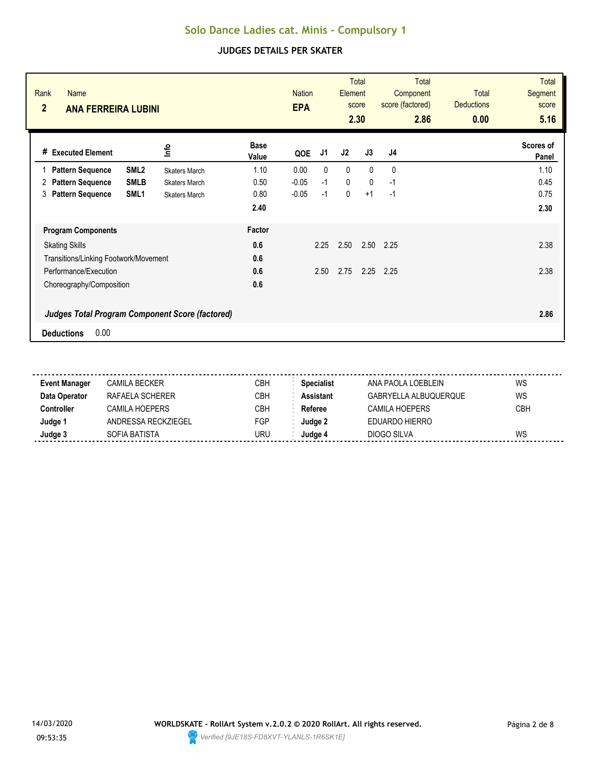| Rank<br><b>Name</b><br>$\overline{2}$<br><b>ANA FERREIRA LUBINI</b>                 |                              | <b>Nation</b><br><b>EPA</b> | <b>Total</b><br>Element<br>score<br>2.30 |              | <b>Total</b><br>Component<br>score (factored)<br>2.86 | Total<br><b>Deductions</b><br>0.00 | <b>Total</b><br><b>Segment</b><br>score<br>5.16 |
|-------------------------------------------------------------------------------------|------------------------------|-----------------------------|------------------------------------------|--------------|-------------------------------------------------------|------------------------------------|-------------------------------------------------|
| <u>lnfo</u><br># Executed Element                                                   | <b>Base</b><br>Value         | J1<br>QOE                   | J2                                       | J3           | J4                                                    |                                    | Scores of<br>Panel                              |
| SML <sub>2</sub><br><b>Pattern Sequence</b>                                         | 1.10<br><b>Skaters March</b> | 0.00<br>$\mathbf{0}$        | $\mathbf{0}$                             | $\Omega$     | $\Omega$                                              |                                    | 1.10                                            |
| <b>SMLB</b><br><b>Pattern Sequence</b><br>2                                         | 0.50<br><b>Skaters March</b> | $-1$<br>$-0.05$             | $\mathbf{0}$                             | $\mathbf{0}$ | $-1$                                                  |                                    | 0.45                                            |
| <b>Pattern Sequence</b><br>SML1<br>3                                                | 0.80<br><b>Skaters March</b> | $-0.05$<br>$-1$             | 0                                        | $+1$         | $-1$                                                  |                                    | 0.75                                            |
|                                                                                     | 2.40                         |                             |                                          |              |                                                       |                                    | 2.30                                            |
| <b>Program Components</b>                                                           | Factor                       |                             |                                          |              |                                                       |                                    |                                                 |
| <b>Skating Skills</b>                                                               | 0.6                          | 2.25                        | 2.50                                     | 2.50         | 2.25                                                  |                                    | 2.38                                            |
| Transitions/Linking Footwork/Movement                                               | 0.6                          |                             |                                          |              |                                                       |                                    |                                                 |
| Performance/Execution                                                               | 0.6                          | 2.50                        | 2.75                                     | 2.25         | 2.25                                                  |                                    | 2.38                                            |
| Choreography/Composition                                                            | 0.6                          |                             |                                          |              |                                                       |                                    |                                                 |
| <b>Judges Total Program Component Score (factored)</b><br>0.00<br><b>Deductions</b> |                              |                             |                                          |              |                                                       |                                    | 2.86                                            |

| <b>Event Manager</b> | CAMILA BECKER       | CBH | <b>Specialist</b> | ANA PAOLA LOEBLEIN    | WS         |
|----------------------|---------------------|-----|-------------------|-----------------------|------------|
| Data Operator        | RAFAFI A SCHFRFR    | СВН | Assistant         | GABRYELLA ALBUQUERQUE | WS         |
| Controller           | CAMILA HOEPERS      | CBH | Referee           | CAMILA HOEPERS        | <b>CBH</b> |
| Judge 1              | ANDRESSA RECKZIEGEL | FGP | Judae 2           | FDUARDO HIFRRO        |            |
| Judge 3              | SOFIA BATISTA       | URU | Judge 4           | DIOGO SILVA           | WS         |
|                      |                     |     |                   |                       |            |

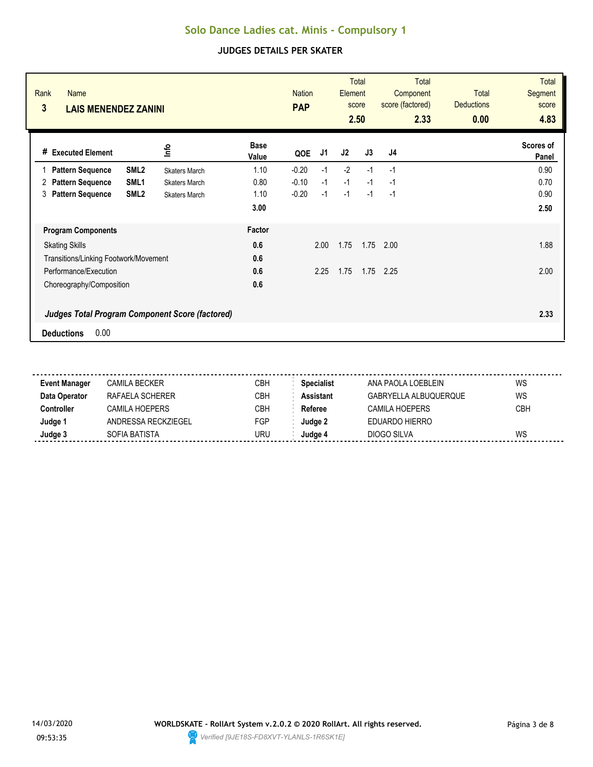| Rank<br><b>Name</b><br>3<br><b>LAIS MENENDEZ ZANINI</b> |                      |                      | <b>Nation</b><br><b>PAP</b> |      | Element | <b>Total</b><br>score<br>2.50 | <b>Total</b><br>Component<br>score (factored)<br>2.33 | <b>Total</b><br><b>Deductions</b><br>0.00 | <b>Total</b><br><b>Segment</b><br>score<br>4.83 |
|---------------------------------------------------------|----------------------|----------------------|-----------------------------|------|---------|-------------------------------|-------------------------------------------------------|-------------------------------------------|-------------------------------------------------|
| # Executed Element                                      | lnfo                 | <b>Base</b><br>Value | QOE                         | J1   | J2      | J3                            | J4                                                    |                                           | Scores of<br>Panel                              |
| SML <sub>2</sub><br><b>Pattern Sequence</b>             | <b>Skaters March</b> | 1.10                 | $-0.20$                     | $-1$ | $-2$    | $-1$                          | $-1$                                                  |                                           | 0.90                                            |
| <b>Pattern Sequence</b><br>SML <sub>1</sub><br>2        | <b>Skaters March</b> | 0.80                 | $-0.10$                     | $-1$ | $-1$    | $-1$                          | $-1$                                                  |                                           | 0.70                                            |
| <b>Pattern Sequence</b><br>SML <sub>2</sub><br>3        | <b>Skaters March</b> | 1.10                 | $-0.20$                     | $-1$ | $-1$    | $-1$                          | $-1$                                                  |                                           | 0.90                                            |
|                                                         |                      | 3.00                 |                             |      |         |                               |                                                       |                                           | 2.50                                            |
| <b>Program Components</b>                               |                      | Factor               |                             |      |         |                               |                                                       |                                           |                                                 |
| <b>Skating Skills</b>                                   |                      | 0.6                  |                             | 2.00 | 1.75    | 1.75                          | 2.00                                                  |                                           | 1.88                                            |
| Transitions/Linking Footwork/Movement                   |                      | 0.6                  |                             |      |         |                               |                                                       |                                           |                                                 |
| Performance/Execution                                   |                      | 0.6                  |                             | 2.25 | 1.75    | 1.75                          | 2.25                                                  |                                           | 2.00                                            |
| Choreography/Composition                                |                      | 0.6                  |                             |      |         |                               |                                                       |                                           |                                                 |
| <b>Judges Total Program Component Score (factored)</b>  |                      |                      |                             |      |         |                               |                                                       |                                           | 2.33                                            |
| 0.00<br><b>Deductions</b>                               |                      |                      |                             |      |         |                               |                                                       |                                           |                                                 |

| <b>Event Manager</b> | CAMILA BECKER       | СВН | <b>Specialist</b> | ANA PAOLA LOEBLEIN    | WS         |
|----------------------|---------------------|-----|-------------------|-----------------------|------------|
| Data Operator        | RAFAFI A SCHFRFR    | CBH | <b>Assistant</b>  | GABRYELLA ALBUQUERQUE | WS         |
| Controller           | CAMII A HOFPFRS     | СВН | Referee           | CAMILA HOEPERS        | <b>CBH</b> |
| Judge 1              | ANDRESSA RECKZIEGEL | FGP | Judae 2           | EDUARDO HIERRO        |            |
| Judge 3              | SOFIA BATISTA       | uru | Judae 4           | DIOGO SILVA           | WS         |
|                      |                     |     |                   |                       |            |

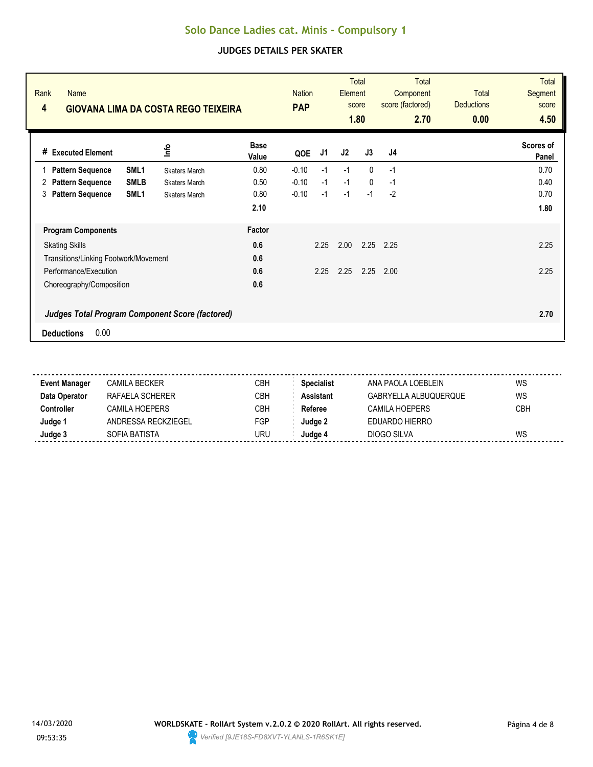| Rank<br><b>Name</b><br>4<br><b>GIOVANA LIMA DA COSTA REGO TEIXEIRA</b> |                      |                      | <b>Nation</b><br><b>PAP</b> |      | Element | <b>Total</b><br>score<br>1.80 | Total<br>Component<br>score (factored)<br>2.70 | <b>Total</b><br><b>Deductions</b><br>0.00 | Total<br><b>Segment</b><br>score<br>4.50 |
|------------------------------------------------------------------------|----------------------|----------------------|-----------------------------|------|---------|-------------------------------|------------------------------------------------|-------------------------------------------|------------------------------------------|
| # Executed Element                                                     | 울                    | <b>Base</b><br>Value | QOE                         | J1   | J2      | J3                            | J4                                             |                                           | Scores of<br>Panel                       |
| SML <sub>1</sub><br><b>Pattern Sequence</b>                            | <b>Skaters March</b> | 0.80                 | $-0.10$                     | $-1$ | $-1$    | 0                             | $-1$                                           |                                           | 0.70                                     |
| <b>SMLB</b><br><b>Pattern Sequence</b><br>2                            | <b>Skaters March</b> | 0.50                 | $-0.10$                     | $-1$ | $-1$    | $\mathbf{0}$                  | $-1$                                           |                                           | 0.40                                     |
| <b>Pattern Sequence</b><br>SML <sub>1</sub><br>3                       | <b>Skaters March</b> | 0.80                 | $-0.10$                     | $-1$ | $-1$    | $-1$                          | $-2$                                           |                                           | 0.70                                     |
|                                                                        |                      | 2.10                 |                             |      |         |                               |                                                |                                           | 1.80                                     |
| <b>Program Components</b>                                              |                      | Factor               |                             |      |         |                               |                                                |                                           |                                          |
| <b>Skating Skills</b>                                                  |                      | 0.6                  |                             | 2.25 | 2.00    | 2.25                          | 2.25                                           |                                           | 2.25                                     |
| Transitions/Linking Footwork/Movement                                  |                      | 0.6                  |                             |      |         |                               |                                                |                                           |                                          |
| Performance/Execution                                                  |                      | 0.6                  |                             | 2.25 | 2.25    | 2.25                          | 2.00                                           |                                           | 2.25                                     |
| Choreography/Composition                                               |                      | 0.6                  |                             |      |         |                               |                                                |                                           |                                          |
| <b>Judges Total Program Component Score (factored)</b>                 |                      |                      |                             |      |         |                               |                                                |                                           | 2.70                                     |
| 0.00<br><b>Deductions</b>                                              |                      |                      |                             |      |         |                               |                                                |                                           |                                          |

| <b>Event Manager</b> | CAMILA BECKER       | CBH | <b>Specialist</b> | ANA PAOLA LOEBLEIN    | WS         |
|----------------------|---------------------|-----|-------------------|-----------------------|------------|
| Data Operator        | RAFAFI A SCHFRFR    | CBH | <b>Assistant</b>  | GABRYELLA ALBUQUERQUE | WS         |
| Controller           | CAMII A HOFPFRS     | CBH | Referee           | CAMILA HOEPERS        | <b>CBH</b> |
| Judge 1              | ANDRESSA RECKZIEGEL | FGP | Judge 2           | EDUARDO HIERRO        |            |
| Judge 3              | SOFIA BATISTA       | URU | Judae 4           | DIOGO SILVA           | WS         |
|                      |                     |     |                   |                       |            |

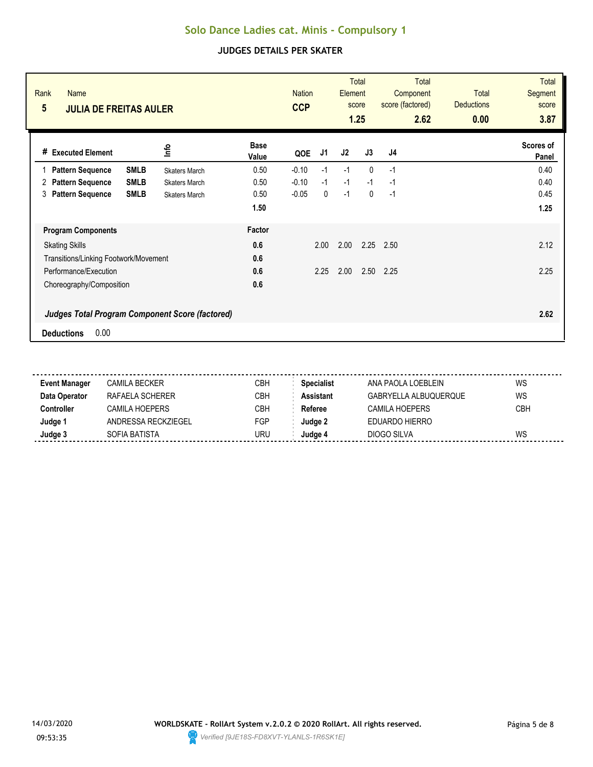| Rank<br><b>Name</b><br>$5\phantom{.0}$<br><b>JULIA DE FREITAS AULER</b> |                      |                      | <b>Nation</b><br><b>CCP</b> |      | Element | <b>Total</b><br>score<br>1.25 | <b>Total</b><br>Component<br>score (factored)<br>2.62 | <b>Total</b><br><b>Deductions</b><br>0.00 | <b>Total</b><br><b>Segment</b><br>score<br>3.87 |
|-------------------------------------------------------------------------|----------------------|----------------------|-----------------------------|------|---------|-------------------------------|-------------------------------------------------------|-------------------------------------------|-------------------------------------------------|
| # Executed Element                                                      | lnfo                 | <b>Base</b><br>Value | QOE                         | J1   | J2      | J3                            | J <sub>4</sub>                                        |                                           | Scores of<br>Panel                              |
| <b>SMLB</b><br><b>Pattern Sequence</b>                                  | <b>Skaters March</b> | 0.50                 | $-0.10$                     | $-1$ | $-1$    | $\mathbf{0}$                  | $-1$                                                  |                                           | 0.40                                            |
| <b>SMLB</b><br><b>Pattern Sequence</b><br>2                             | <b>Skaters March</b> | 0.50                 | $-0.10$                     | $-1$ | $-1$    | $-1$                          | $-1$                                                  |                                           | 0.40                                            |
| <b>Pattern Sequence</b><br><b>SMLB</b><br>3                             | <b>Skaters March</b> | 0.50                 | $-0.05$                     | 0    | $-1$    | $\mathbf 0$                   | $-1$                                                  |                                           | 0.45                                            |
|                                                                         |                      | 1.50                 |                             |      |         |                               |                                                       |                                           | 1.25                                            |
| <b>Program Components</b>                                               |                      | Factor               |                             |      |         |                               |                                                       |                                           |                                                 |
| <b>Skating Skills</b>                                                   |                      | 0.6                  |                             | 2.00 | 2.00    | 2.25                          | 2.50                                                  |                                           | 2.12                                            |
| Transitions/Linking Footwork/Movement                                   |                      | 0.6                  |                             |      |         |                               |                                                       |                                           |                                                 |
| Performance/Execution                                                   |                      | 0.6                  |                             | 2.25 | 2.00    | 2.50                          | 2.25                                                  |                                           | 2.25                                            |
| Choreography/Composition                                                |                      | 0.6                  |                             |      |         |                               |                                                       |                                           |                                                 |
| <b>Judges Total Program Component Score (factored)</b>                  |                      |                      |                             |      |         |                               |                                                       |                                           | 2.62                                            |
| 0.00<br><b>Deductions</b>                                               |                      |                      |                             |      |         |                               |                                                       |                                           |                                                 |

| <b>Event Manager</b> | CAMILA BECKER       | <b>CBH</b> | <b>Specialist</b> | ANA PAOLA LOEBLEIN    | WS         |
|----------------------|---------------------|------------|-------------------|-----------------------|------------|
| Data Operator        | RAFAFI A SCHERFR    | CBH        | <b>Assistant</b>  | GABRYELLA ALBUQUERQUE | WS         |
| Controller           | CAMII A HOFPFRS     | <b>CBH</b> | Referee           | CAMILA HOEPERS        | <b>CBH</b> |
| Judge '              | ANDRESSA RECKZIEGEL | FGP        | Judae 2           | EDUARDO HIERRO        |            |
| Judge 3              | SOFIA BATISTA       | URU        | Judae 4           | DIOGO SILVA           | WS         |
|                      |                     |            |                   |                       |            |

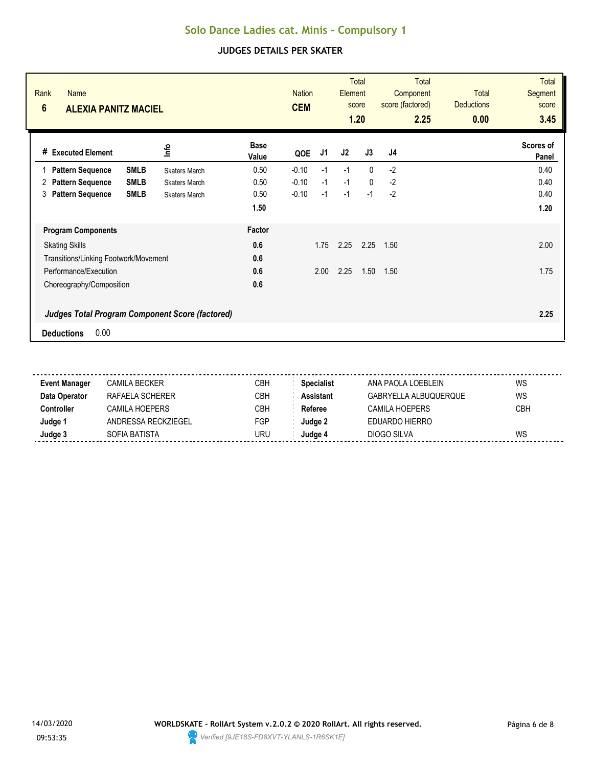| Rank<br><b>Name</b><br>$6\phantom{1}$<br><b>ALEXIA PANITZ MACIEL</b>                |                      |                      | <b>Nation</b><br><b>CEM</b> |      | <b>Element</b> | <b>Total</b><br>score<br>1.20 | <b>Total</b><br>Component<br>score (factored)<br>2.25 | <b>Total</b><br><b>Deductions</b><br>0.00 | <b>Total</b><br>Segment<br>score<br>3.45 |
|-------------------------------------------------------------------------------------|----------------------|----------------------|-----------------------------|------|----------------|-------------------------------|-------------------------------------------------------|-------------------------------------------|------------------------------------------|
| <b>Executed Element</b><br>#                                                        | 울                    | <b>Base</b><br>Value | QOE                         | J1   | J2             | J3                            | J4                                                    |                                           | Scores of<br>Panel                       |
| <b>SMLB</b><br><b>Pattern Sequence</b>                                              | <b>Skaters March</b> | 0.50                 | $-0.10$                     | $-1$ | $-1$           | $\Omega$                      | $-2$                                                  |                                           | 0.40                                     |
| <b>SMLB</b><br><b>Pattern Sequence</b><br>2                                         | <b>Skaters March</b> | 0.50                 | $-0.10$                     | $-1$ | $-1$           | $\mathbf{0}$                  | $-2$                                                  |                                           | 0.40                                     |
| <b>Pattern Sequence</b><br><b>SMLB</b><br>3                                         | <b>Skaters March</b> | 0.50                 | $-0.10$                     | $-1$ | $-1$           | $-1$                          | $-2$                                                  |                                           | 0.40                                     |
|                                                                                     |                      | 1.50                 |                             |      |                |                               |                                                       |                                           | 1.20                                     |
| <b>Program Components</b>                                                           |                      | Factor               |                             |      |                |                               |                                                       |                                           |                                          |
| <b>Skating Skills</b>                                                               |                      | 0.6                  |                             | 1.75 | 2.25           | 2.25                          | 1.50                                                  |                                           | 2.00                                     |
| Transitions/Linking Footwork/Movement                                               |                      | 0.6                  |                             |      |                |                               |                                                       |                                           |                                          |
| Performance/Execution                                                               |                      | 0.6                  |                             | 2.00 | 2.25           | 1.50                          | 1.50                                                  |                                           | 1.75                                     |
| Choreography/Composition                                                            |                      | 0.6                  |                             |      |                |                               |                                                       |                                           |                                          |
| <b>Judges Total Program Component Score (factored)</b><br>0.00<br><b>Deductions</b> |                      |                      |                             |      |                |                               |                                                       |                                           | 2.25                                     |

| <b>Event Manager</b> | CAMILA BECKER       | CBH | <b>Specialist</b> | ANA PAOLA LOEBLEIN    | WS         |
|----------------------|---------------------|-----|-------------------|-----------------------|------------|
| Data Operator        | RAFAFI A SCHFRFR    | CBH | <b>Assistant</b>  | GABRYELLA ALBUQUERQUE | WS         |
| Controller           | CAMII A HOFPFRS     | CBH | Referee           | CAMILA HOEPERS        | <b>CBH</b> |
| Judge 1              | ANDRESSA RECKZIEGEL | FGP | Judge 2           | EDUARDO HIERRO        |            |
| Judge 3              | SOFIA BATISTA       | URU | Judae 4           | DIOGO SILVA           | WS         |
|                      |                     |     |                   |                       |            |

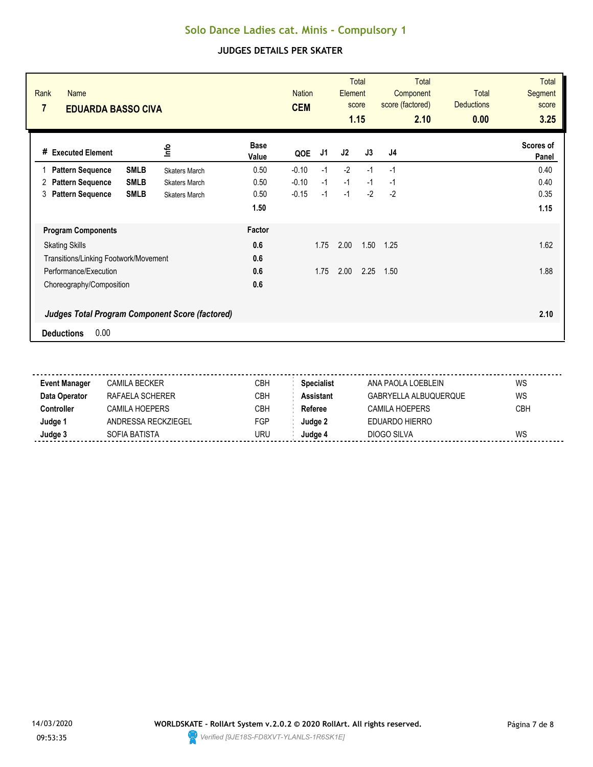| Rank<br><b>Name</b><br>7<br><b>EDUARDA BASSO CIVA</b>                               |                      | <b>Nation</b><br><b>CEM</b> |      | Element | <b>Total</b><br>score<br>1.15 | <b>Total</b><br>Component<br>score (factored)<br>2.10 | <b>Total</b><br><b>Deductions</b><br>0.00 | <b>Total</b><br><b>Segment</b><br>score<br>3.25 |
|-------------------------------------------------------------------------------------|----------------------|-----------------------------|------|---------|-------------------------------|-------------------------------------------------------|-------------------------------------------|-------------------------------------------------|
| lnfo<br># Executed Element                                                          | <b>Base</b><br>Value | QOE                         | J1   | J2      | J3                            | J <sub>4</sub>                                        |                                           | Scores of<br>Panel                              |
| <b>SMLB</b><br><b>Pattern Sequence</b><br><b>Skaters March</b>                      | 0.50                 | $-0.10$                     | $-1$ | $-2$    | $-1$                          | $-1$                                                  |                                           | 0.40                                            |
| <b>SMLB</b><br><b>Pattern Sequence</b><br>2<br><b>Skaters March</b>                 | 0.50                 | $-0.10$                     | $-1$ | $-1$    | $-1$                          | $-1$                                                  |                                           | 0.40                                            |
| <b>Pattern Sequence</b><br><b>SMLB</b><br>3<br><b>Skaters March</b>                 | 0.50                 | $-0.15$                     | $-1$ | $-1$    | $-2$                          | $-2$                                                  |                                           | 0.35                                            |
|                                                                                     | 1.50                 |                             |      |         |                               |                                                       |                                           | 1.15                                            |
| <b>Program Components</b>                                                           | Factor               |                             |      |         |                               |                                                       |                                           |                                                 |
| <b>Skating Skills</b>                                                               | 0.6                  |                             | 1.75 | 2.00    | 1.50                          | 1.25                                                  |                                           | 1.62                                            |
| Transitions/Linking Footwork/Movement                                               | 0.6                  |                             |      |         |                               |                                                       |                                           |                                                 |
| Performance/Execution                                                               | 0.6                  |                             | 1.75 | 2.00    | 2.25                          | 1.50                                                  |                                           | 1.88                                            |
| Choreography/Composition                                                            | 0.6                  |                             |      |         |                               |                                                       |                                           |                                                 |
| <b>Judges Total Program Component Score (factored)</b><br>0.00<br><b>Deductions</b> |                      |                             |      |         |                               |                                                       |                                           | 2.10                                            |

| <b>Event Manager</b> | CAMILA BECKER       | CBH | <b>Specialist</b> | ANA PAOLA LOEBLEIN    | WS         |
|----------------------|---------------------|-----|-------------------|-----------------------|------------|
| Data Operator        | RAFAFI A SCHFRFR    | CBH | <b>Assistant</b>  | GABRYELLA ALBUQUERQUE | WS         |
| Controller           | CAMII A HOFPFRS     | CBH | Referee           | CAMILA HOEPERS        | <b>CBH</b> |
| Judge 1              | ANDRESSA RECKZIEGEL | FGP | Judge 2           | EDUARDO HIERRO        |            |
| Judge 3              | SOFIA BATISTA       | URU | Judae 4           | DIOGO SILVA           | WS         |
|                      |                     |     |                   |                       |            |